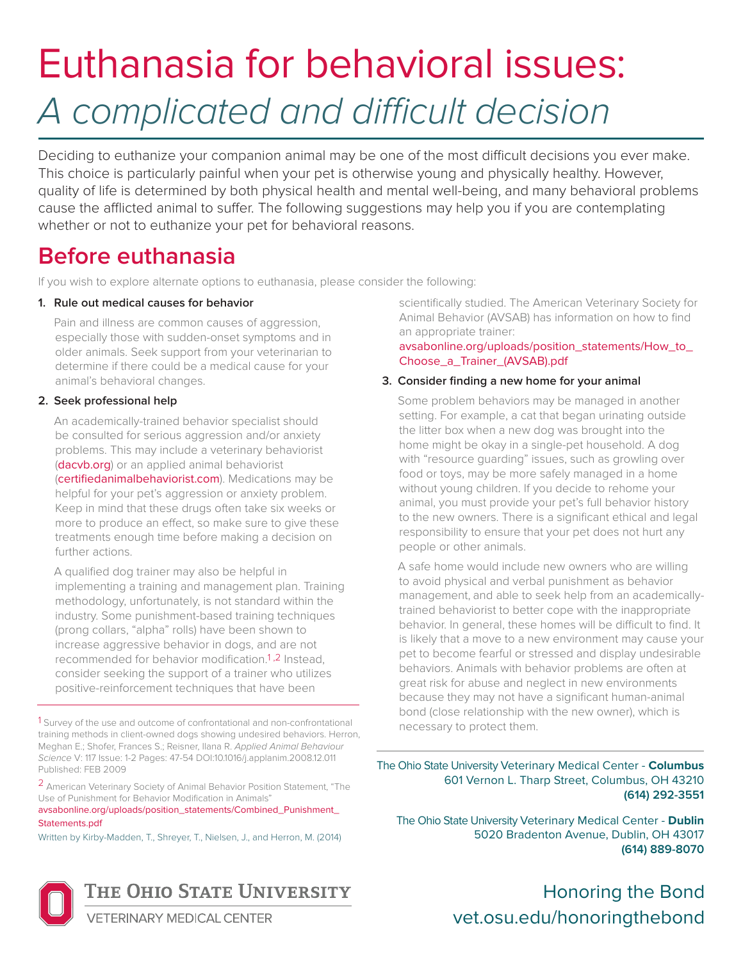# Euthanasia for behavioral issues: *A complicated and difficult decision*

Deciding to euthanize your companion animal may be one of the most difficult decisions you ever make. This choice is particularly painful when your pet is otherwise young and physically healthy. However, quality of life is determined by both physical health and mental well-being, and many behavioral problems cause the afflicted animal to suffer. The following suggestions may help you if you are contemplating whether or not to euthanize your pet for behavioral reasons.

# **Before euthanasia**

If you wish to explore alternate options to euthanasia, please consider the following:

#### **1. Rule out medical causes for behavior**

Pain and illness are common causes of aggression, especially those with sudden-onset symptoms and in older animals. Seek support from your veterinarian to determine if there could be a medical cause for your animal's behavioral changes.

#### **2. Seek professional help**

An academically-trained behavior specialist should be consulted for serious aggression and/or anxiety problems. This may include a veterinary behaviorist ([dacvb.org](www.dacvb.org)) or an applied animal behaviorist ([certifiedanimalbehaviorist.com](www.certifiedanimalbehaviorist.com)). Medications may be helpful for your pet's aggression or anxiety problem. Keep in mind that these drugs often take six weeks or more to produce an effect, so make sure to give these treatments enough time before making a decision on further actions.

A qualified dog trainer may also be helpful in implementing a training and management plan. Training methodology, unfortunately, is not standard within the industry. Some punishment-based training techniques (prong collars, "alpha" rolls) have been shown to increase aggressive behavior in dogs, and are not recommended for behavior modification.1 ,2 Instead, consider seeking the support of a trainer who utilizes positive-reinforcement techniques that have been

1 Survey of the use and outcome of confrontational and non-confrontational training methods in client-owned dogs showing undesired behaviors. Herron, Meghan E.; Shofer, Frances S.; Reisner, Ilana R. *Applied Animal Behaviour Science* V: 117 Issue: 1-2 Pages: 47-54 DOI:10.1016/j.applanim.2008.12.011 Published: FEB 2009

2 American Veterinary Society of Animal Behavior Position Statement, "The Use of Punishment for Behavior Modification in Animals"

#### [avsabonline.org/uploads/position\\_statements/Combined\\_Punishment\\_](www.avsabonline.org/uploads/position_statements/Combined_Punishment_Statements.pdf) Statements.pdf

Written by Kirby-Madden, T., Shreyer, T., Nielsen, J., and Herron, M. (2014)



scientifically studied. The American Veterinary Society for Animal Behavior (AVSAB) has information on how to find an appropriate trainer:

[avsabonline.org/uploads/position\\_statements/How\\_to\\_](http://avsabonline.org/uploads/position_statements/How_to_Choose_a_Trainer_(AVSAB).pdf) Choose\_a\_Trainer\_(AVSAB).pdf

#### **3. Consider finding a new home for your animal**

Some problem behaviors may be managed in another setting. For example, a cat that began urinating outside the litter box when a new dog was brought into the home might be okay in a single-pet household. A dog with "resource guarding" issues, such as growling over food or toys, may be more safely managed in a home without young children. If you decide to rehome your animal, you must provide your pet's full behavior history to the new owners. There is a significant ethical and legal responsibility to ensure that your pet does not hurt any people or other animals.

A safe home would include new owners who are willing to avoid physical and verbal punishment as behavior management, and able to seek help from an academicallytrained behaviorist to better cope with the inappropriate behavior. In general, these homes will be difficult to find. It is likely that a move to a new environment may cause your pet to become fearful or stressed and display undesirable behaviors. Animals with behavior problems are often at great risk for abuse and neglect in new environments because they may not have a significant human-animal bond (close relationship with the new owner), which is necessary to protect them.

The Ohio State University Veterinary Medical Center - **Columbus** 601 Vernon L. Tharp Street, Columbus, OH 43210 **(614) 292-3551**

The Ohio State University Veterinary Medical Center - **Dublin** 5020 Bradenton Avenue, Dublin, OH 43017 **(614) 889-8070**

### Honoring the Bond <vet.osu.edu/honoringthebond>

**ETERINARY MEDICAL CENTER**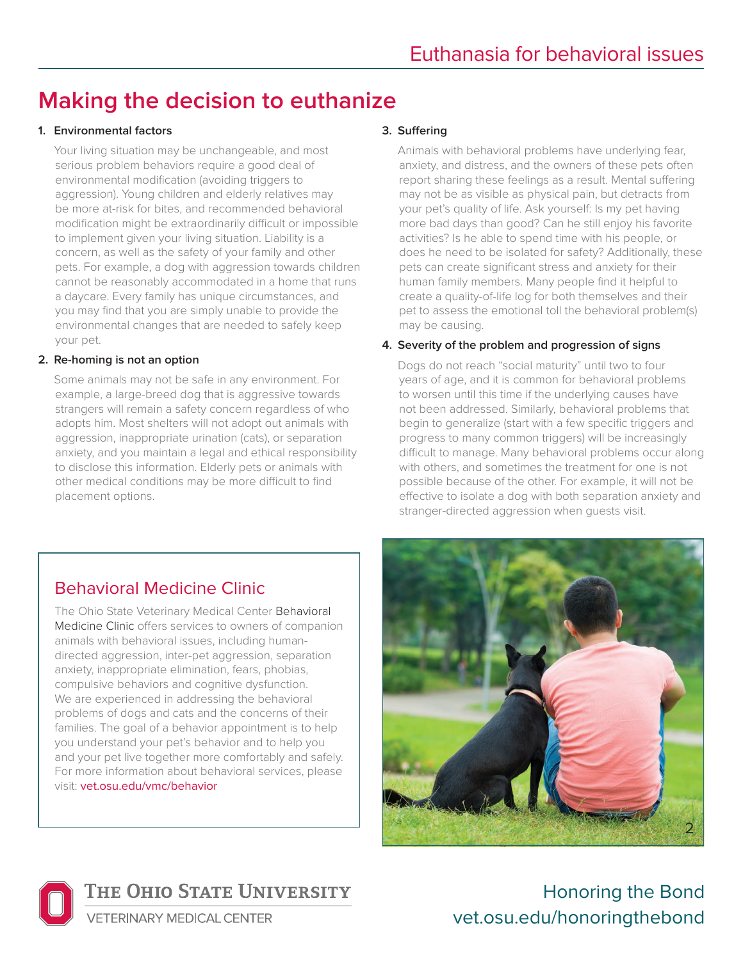# **Making the decision to euthanize**

#### **1. Environmental factors**

Your living situation may be unchangeable, and most serious problem behaviors require a good deal of environmental modification (avoiding triggers to aggression). Young children and elderly relatives may be more at-risk for bites, and recommended behavioral modification might be extraordinarily difficult or impossible to implement given your living situation. Liability is a concern, as well as the safety of your family and other pets. For example, a dog with aggression towards children cannot be reasonably accommodated in a home that runs a daycare. Every family has unique circumstances, and you may find that you are simply unable to provide the environmental changes that are needed to safely keep your pet.

#### **2. Re-homing is not an option**

Some animals may not be safe in any environment. For example, a large-breed dog that is aggressive towards strangers will remain a safety concern regardless of who adopts him. Most shelters will not adopt out animals with aggression, inappropriate urination (cats), or separation anxiety, and you maintain a legal and ethical responsibility to disclose this information. Elderly pets or animals with other medical conditions may be more difficult to find placement options.

#### **3. Suffering**

Animals with behavioral problems have underlying fear, anxiety, and distress, and the owners of these pets often report sharing these feelings as a result. Mental suffering may not be as visible as physical pain, but detracts from your pet's quality of life. Ask yourself: Is my pet having more bad days than good? Can he still enjoy his favorite activities? Is he able to spend time with his people, or does he need to be isolated for safety? Additionally, these pets can create significant stress and anxiety for their human family members. Many people find it helpful to create a quality-of-life log for both themselves and their pet to assess the emotional toll the behavioral problem(s) may be causing.

#### **4. Severity of the problem and progression of signs**

Dogs do not reach "social maturity" until two to four years of age, and it is common for behavioral problems to worsen until this time if the underlying causes have not been addressed. Similarly, behavioral problems that begin to generalize (start with a few specific triggers and progress to many common triggers) will be increasingly difficult to manage. Many behavioral problems occur along with others, and sometimes the treatment for one is not possible because of the other. For example, it will not be effective to isolate a dog with both separation anxiety and stranger-directed aggression when guests visit.

### Behavioral Medicine Clinic

The Ohio State Veterinary Medical Center Behavioral Medicine Clinic offers services to owners of companion animals with behavioral issues, including humandirected aggression, inter-pet aggression, separation anxiety, inappropriate elimination, fears, phobias, compulsive behaviors and cognitive dysfunction. We are experienced in addressing the behavioral problems of dogs and cats and the concerns of their families. The goal of a behavior appointment is to help you understand your pet's behavior and to help you and your pet live together more comfortably and safely. For more information about behavioral services, please visit: [vet.osu.edu/vmc/behavior](www.vet.osu.edu/vmc/behavior)





THE OHIO STATE UNIVERSITY

Honoring the Bond <vet.osu.edu/honoringthebond>

**/ETERINARY MEDICAL CENTER**